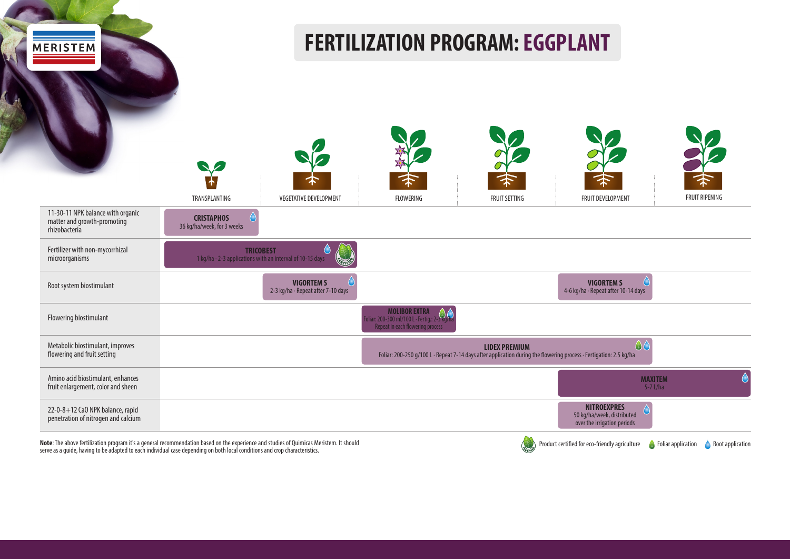